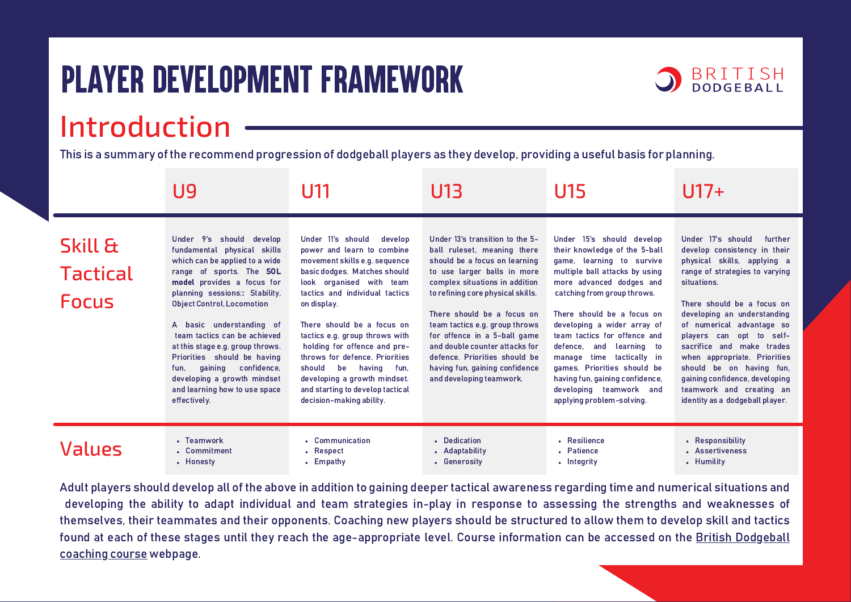## Player Development Framework



This is a summary of the recommend progression of dodgeball players as they develop, providing a useful basis for planning.

|                                                       | U9                                                                                                                                                                                                                                                                                                                                                                                                                                                                         | U11                                                                                                                                                                                                                                                                                                                                                                                                                                                                 | U13                                                                                                                                                                                                                                                                                                                                                                                                                                    | U15                                                                                                                                                                                                                                                                                                                                                                                                                                                                  | $U17+$                                                                                                                                                                                                                                                                                                                                                                                                                                                       |
|-------------------------------------------------------|----------------------------------------------------------------------------------------------------------------------------------------------------------------------------------------------------------------------------------------------------------------------------------------------------------------------------------------------------------------------------------------------------------------------------------------------------------------------------|---------------------------------------------------------------------------------------------------------------------------------------------------------------------------------------------------------------------------------------------------------------------------------------------------------------------------------------------------------------------------------------------------------------------------------------------------------------------|----------------------------------------------------------------------------------------------------------------------------------------------------------------------------------------------------------------------------------------------------------------------------------------------------------------------------------------------------------------------------------------------------------------------------------------|----------------------------------------------------------------------------------------------------------------------------------------------------------------------------------------------------------------------------------------------------------------------------------------------------------------------------------------------------------------------------------------------------------------------------------------------------------------------|--------------------------------------------------------------------------------------------------------------------------------------------------------------------------------------------------------------------------------------------------------------------------------------------------------------------------------------------------------------------------------------------------------------------------------------------------------------|
| <b>Skill &amp;</b><br><b>Tactical</b><br><b>Focus</b> | Under 9's should develop<br>fundamental physical skills<br>which can be applied to a wide<br>range of sports. The SOL<br>model provides a focus for<br>planning sessions: Stability,<br><b>Object Control, Locomotion</b><br>A basic understanding of<br>team tactics can be achieved<br>at this stage e.g. group throws.<br>Priorities should be having<br>gaining<br>confidence,<br>fun.<br>developing a growth mindset<br>and learning how to use space<br>effectively. | Under 11's should<br>develop<br>power and learn to combine<br>movement skills e.g. sequence<br>basic dodges. Matches should<br>look organised with team<br>tactics and individual tactics<br>on display.<br>There should be a focus on<br>tactics e.g. group throws with<br>holding for offence and pre-<br>throws for defence. Priorities<br>should be having fun,<br>developing a growth mindset.<br>and starting to develop tactical<br>decision-making ability. | Under 13's transition to the 5-<br>ball ruleset, meaning there<br>should be a focus on learning<br>to use larger balls in more<br>complex situations in addition<br>to refining core physical skills.<br>There should be a focus on<br>team tactics e.g. group throws<br>for offence in a 5-ball game<br>and double counter attacks for<br>defence. Priorities should be<br>having fun, gaining confidence<br>and developing teamwork. | Under 15's should develop<br>their knowledge of the 5-ball<br>game, learning to survive<br>multiple ball attacks by using<br>more advanced dodges and<br>catching from group throws.<br>There should be a focus on<br>developing a wider array of<br>team tactics for offence and<br>defence, and learning to<br>manage time tactically in<br>games. Priorities should be<br>having fun, gaining confidence,<br>developing teamwork and<br>applying problem-solving. | Under 17's should<br>further<br>develop consistency in their<br>physical skills, applying a<br>range of strategies to varying<br>situations.<br>There should be a focus on<br>developing an understanding<br>of numerical advantage so<br>players can opt to self-<br>sacrifice and make trades<br>when appropriate. Priorities<br>should be on having fun,<br>gaining confidence, developing<br>teamwork and creating an<br>identity as a dodgeball player. |
| Values                                                | • Teamwork<br>• Commitment<br>• Honesty                                                                                                                                                                                                                                                                                                                                                                                                                                    | • Communication<br>• Respect<br>• Empathy                                                                                                                                                                                                                                                                                                                                                                                                                           | • Dedication<br>• Adaptability<br>• Generosity                                                                                                                                                                                                                                                                                                                                                                                         | • Resilience<br>• Patience<br>• Intearity                                                                                                                                                                                                                                                                                                                                                                                                                            | • Responsibility<br>• Assertiveness<br>• Humility                                                                                                                                                                                                                                                                                                                                                                                                            |

Adult players should develop all of the above in addition to gaining deeper tactical awareness regarding time and numerical situations and developing the ability to adapt individual and team strategies in-play in response to assessing the strengths and weaknesses of themselves, their teammates and their opponents. Coaching new players should be structured to allow them to develop skill and tactics [found at each of these stages until they reach the age-appropriate level.](https://www.britishdodgeball.org/coaching-courses/) Course information can be accessed on the British Dodgeball coaching course webpage.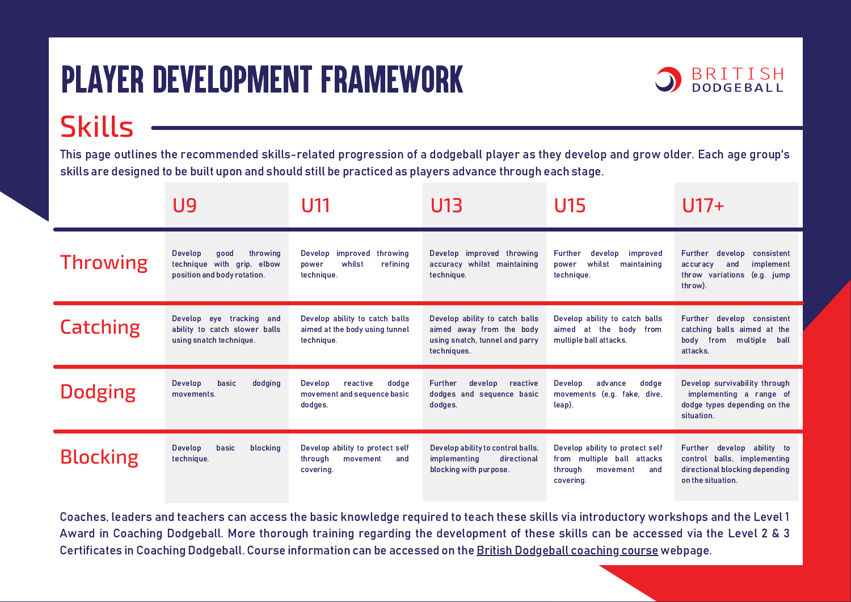## Player Development Framework

Skills



This page outlines the recommended skills-related progression of a dodgeball player as they develop and grow older. Each age group's skills are designed to be built upon and should still be practiced as players advance through each stage.

|                 | U9                                                                                       | U11                                                                            | U13                                                                                                         | U15                                                                                                      | U17+                                                                                                                       |
|-----------------|------------------------------------------------------------------------------------------|--------------------------------------------------------------------------------|-------------------------------------------------------------------------------------------------------------|----------------------------------------------------------------------------------------------------------|----------------------------------------------------------------------------------------------------------------------------|
| <b>Throwing</b> | Develop<br>throwing<br>good<br>technique with grip, elbow<br>position and body rotation. | Develop improved throwing<br>whilst<br>refining<br>power<br>technique.         | Develop improved throwing<br>accuracy whilst maintaining<br>technique.                                      | Further<br>improved<br>develop<br>whilst<br>power<br>maintaining<br>technique.                           | consistent<br><b>Further</b><br>develop<br>implement<br>accuracy<br>and<br>throw variations (e.g. jump<br>throw).          |
| <b>Catching</b> | Develop eye tracking and<br>ability to catch slower balls<br>using snatch technique.     | Develop ability to catch balls<br>aimed at the body using tunnel<br>technique. | Develop ability to catch balls<br>aimed away from the body<br>using snatch, tunnel and parry<br>techniques. | Develop ability to catch balls<br>aimed at the body from<br>multiple ball attacks.                       | Further develop consistent<br>catching balls aimed at the<br>body from multiple<br>ball<br>attacks.                        |
| <b>Dodging</b>  | Develop<br>basic<br>dodging<br>movements.                                                | reactive<br>dodge<br>Develop<br>movement and sequence basic<br>dodges.         | <b>Further</b><br>develop<br>reactive<br>dodges and sequence basic<br>dodges.                               | Develop<br>advance<br>dodge<br>movements (e.g. fake, dive,<br>leap).                                     | Develop survivability through<br>implementing a range of<br>dodge types depending on the<br>situation.                     |
| <b>Blocking</b> | Develop<br>basic<br>blocking<br>technique.                                               | Develop ability to protect self<br>through<br>movement<br>and<br>covering.     | Develop ability to control balls,<br>implementing<br>directional<br>blocking with purpose.                  | Develop ability to protect self<br>from multiple ball attacks<br>through<br>movement<br>and<br>covering. | <b>Further</b><br>develop ability to<br>control balls, implementing<br>directional blocking depending<br>on the situation. |

Coaches, leaders and teachers can access the basic knowledge required to teach these skills via introductory workshops and the Level 1 Award in Coaching Dodgeball. More thorough training regarding the development of these skills can be accessed via the Level 2 & 3 Certificates in Coaching Dodgeball. Course information can be accessed on the [British Dodgeball coaching course](https://www.britishdodgeball.org/coaching-courses/) webpage.